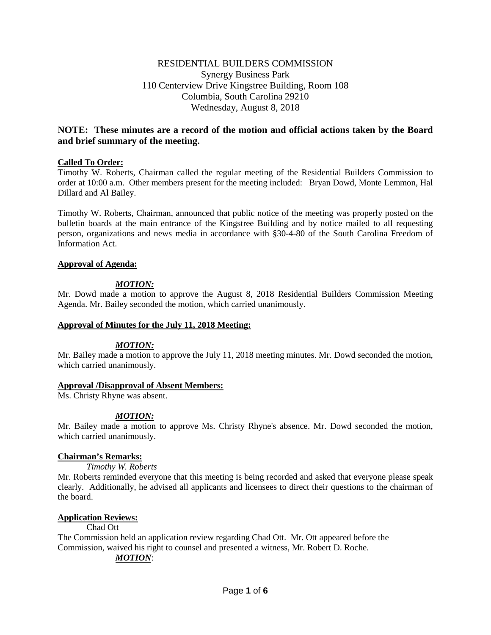# RESIDENTIAL BUILDERS COMMISSION Synergy Business Park 110 Centerview Drive Kingstree Building, Room 108 Columbia, South Carolina 29210 Wednesday, August 8, 2018

# **NOTE: These minutes are a record of the motion and official actions taken by the Board and brief summary of the meeting.**

# **Called To Order:**

Timothy W. Roberts, Chairman called the regular meeting of the Residential Builders Commission to order at 10:00 a.m. Other members present for the meeting included: Bryan Dowd, Monte Lemmon, Hal Dillard and Al Bailey.

Timothy W. Roberts, Chairman, announced that public notice of the meeting was properly posted on the bulletin boards at the main entrance of the Kingstree Building and by notice mailed to all requesting person, organizations and news media in accordance with §30-4-80 of the South Carolina Freedom of Information Act.

### **Approval of Agenda:**

# *MOTION:*

Mr. Dowd made a motion to approve the August 8, 2018 Residential Builders Commission Meeting Agenda. Mr. Bailey seconded the motion, which carried unanimously.

### **Approval of Minutes for the July 11, 2018 Meeting:**

### *MOTION:*

Mr. Bailey made a motion to approve the July 11, 2018 meeting minutes. Mr. Dowd seconded the motion, which carried unanimously.

### **Approval /Disapproval of Absent Members:**

Ms. Christy Rhyne was absent.

### *MOTION:*

Mr. Bailey made a motion to approve Ms. Christy Rhyne's absence. Mr. Dowd seconded the motion, which carried unanimously.

### **Chairman's Remarks:**

### *Timothy W. Roberts*

Mr. Roberts reminded everyone that this meeting is being recorded and asked that everyone please speak clearly. Additionally, he advised all applicants and licensees to direct their questions to the chairman of the board.

### **Application Reviews:**

### Chad Ott

The Commission held an application review regarding Chad Ott. Mr. Ott appeared before the Commission, waived his right to counsel and presented a witness, Mr. Robert D. Roche.

# *MOTION*: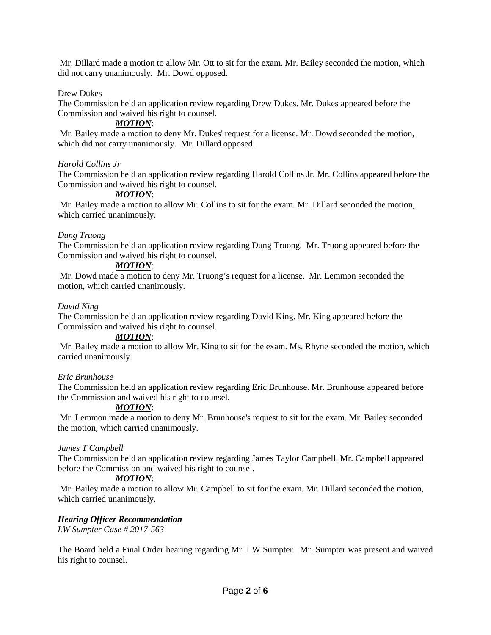Mr. Dillard made a motion to allow Mr. Ott to sit for the exam. Mr. Bailey seconded the motion, which did not carry unanimously. Mr. Dowd opposed.

### Drew Dukes

The Commission held an application review regarding Drew Dukes. Mr. Dukes appeared before the Commission and waived his right to counsel.

# *MOTION*:

Mr. Bailey made a motion to deny Mr. Dukes' request for a license. Mr. Dowd seconded the motion, which did not carry unanimously. Mr. Dillard opposed.

### *Harold Collins Jr*

The Commission held an application review regarding Harold Collins Jr. Mr. Collins appeared before the Commission and waived his right to counsel.

### *MOTION*:

Mr. Bailey made a motion to allow Mr. Collins to sit for the exam. Mr. Dillard seconded the motion, which carried unanimously.

### *Dung Truong*

The Commission held an application review regarding Dung Truong. Mr. Truong appeared before the Commission and waived his right to counsel.

# *MOTION*:

Mr. Dowd made a motion to deny Mr. Truong's request for a license. Mr. Lemmon seconded the motion, which carried unanimously.

### *David King*

The Commission held an application review regarding David King. Mr. King appeared before the Commission and waived his right to counsel.

### *MOTION*:

Mr. Bailey made a motion to allow Mr. King to sit for the exam. Ms. Rhyne seconded the motion, which carried unanimously.

### *Eric Brunhouse*

The Commission held an application review regarding Eric Brunhouse. Mr. Brunhouse appeared before the Commission and waived his right to counsel.

### *MOTION*:

Mr. Lemmon made a motion to deny Mr. Brunhouse's request to sit for the exam. Mr. Bailey seconded the motion, which carried unanimously.

### *James T Campbell*

The Commission held an application review regarding James Taylor Campbell. Mr. Campbell appeared before the Commission and waived his right to counsel.

# *MOTION*:

Mr. Bailey made a motion to allow Mr. Campbell to sit for the exam. Mr. Dillard seconded the motion, which carried unanimously.

### *Hearing Officer Recommendation*

*LW Sumpter Case # 2017-563*

The Board held a Final Order hearing regarding Mr. LW Sumpter. Mr. Sumpter was present and waived his right to counsel.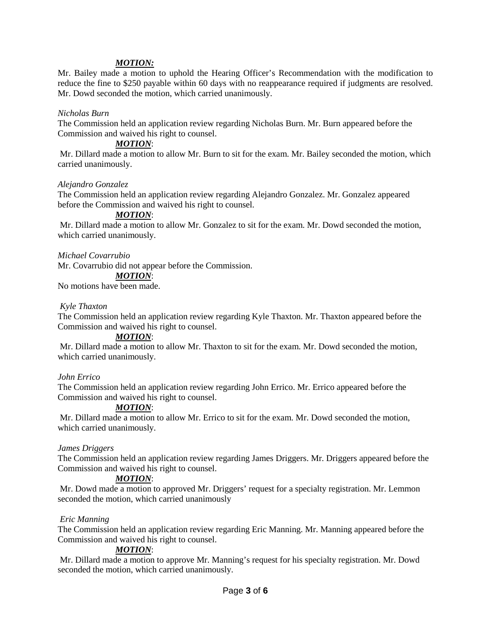# *MOTION:*

Mr. Bailey made a motion to uphold the Hearing Officer's Recommendation with the modification to reduce the fine to \$250 payable within 60 days with no reappearance required if judgments are resolved. Mr. Dowd seconded the motion, which carried unanimously.

### *Nicholas Burn*

The Commission held an application review regarding Nicholas Burn. Mr. Burn appeared before the Commission and waived his right to counsel.

#### *MOTION*:

Mr. Dillard made a motion to allow Mr. Burn to sit for the exam. Mr. Bailey seconded the motion, which carried unanimously.

### *Alejandro Gonzalez*

The Commission held an application review regarding Alejandro Gonzalez. Mr. Gonzalez appeared before the Commission and waived his right to counsel.

# *MOTION*:

Mr. Dillard made a motion to allow Mr. Gonzalez to sit for the exam. Mr. Dowd seconded the motion, which carried unanimously.

*Michael Covarrubio*

Mr. Covarrubio did not appear before the Commission.

# *MOTION*:

No motions have been made.

#### *Kyle Thaxton*

The Commission held an application review regarding Kyle Thaxton. Mr. Thaxton appeared before the Commission and waived his right to counsel.

### *MOTION*:

Mr. Dillard made a motion to allow Mr. Thaxton to sit for the exam. Mr. Dowd seconded the motion, which carried unanimously.

### *John Errico*

The Commission held an application review regarding John Errico. Mr. Errico appeared before the Commission and waived his right to counsel.

#### *MOTION*:

Mr. Dillard made a motion to allow Mr. Errico to sit for the exam. Mr. Dowd seconded the motion, which carried unanimously.

### *James Driggers*

The Commission held an application review regarding James Driggers. Mr. Driggers appeared before the Commission and waived his right to counsel.

### *MOTION*:

Mr. Dowd made a motion to approved Mr. Driggers' request for a specialty registration. Mr. Lemmon seconded the motion, which carried unanimously

### *Eric Manning*

The Commission held an application review regarding Eric Manning. Mr. Manning appeared before the Commission and waived his right to counsel.

### *MOTION*:

Mr. Dillard made a motion to approve Mr. Manning's request for his specialty registration. Mr. Dowd seconded the motion, which carried unanimously.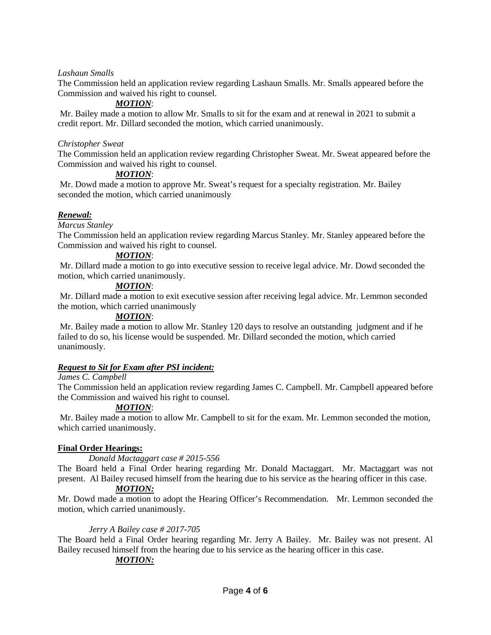### *Lashaun Smalls*

The Commission held an application review regarding Lashaun Smalls. Mr. Smalls appeared before the Commission and waived his right to counsel.

# *MOTION*:

Mr. Bailey made a motion to allow Mr. Smalls to sit for the exam and at renewal in 2021 to submit a credit report. Mr. Dillard seconded the motion, which carried unanimously.

#### *Christopher Sweat*

The Commission held an application review regarding Christopher Sweat. Mr. Sweat appeared before the Commission and waived his right to counsel.

### *MOTION*:

Mr. Dowd made a motion to approve Mr. Sweat's request for a specialty registration. Mr. Bailey seconded the motion, which carried unanimously

# *Renewal:*

*Marcus Stanley*

The Commission held an application review regarding Marcus Stanley. Mr. Stanley appeared before the Commission and waived his right to counsel.

# *MOTION*:

Mr. Dillard made a motion to go into executive session to receive legal advice. Mr. Dowd seconded the motion, which carried unanimously.

### *MOTION*:

Mr. Dillard made a motion to exit executive session after receiving legal advice. Mr. Lemmon seconded the motion, which carried unanimously

#### *MOTION*:

Mr. Bailey made a motion to allow Mr. Stanley 120 days to resolve an outstanding judgment and if he failed to do so, his license would be suspended. Mr. Dillard seconded the motion, which carried unanimously.

# *Request to Sit for Exam after PSI incident:*

#### *James C. Campbell*

The Commission held an application review regarding James C. Campbell. Mr. Campbell appeared before the Commission and waived his right to counsel.

### *MOTION*:

Mr. Bailey made a motion to allow Mr. Campbell to sit for the exam. Mr. Lemmon seconded the motion, which carried unanimously.

### **Final Order Hearings:**

*Donald Mactaggart case # 2015-556*

The Board held a Final Order hearing regarding Mr. Donald Mactaggart. Mr. Mactaggart was not present. Al Bailey recused himself from the hearing due to his service as the hearing officer in this case.

# *MOTION:*

Mr. Dowd made a motion to adopt the Hearing Officer's Recommendation. Mr. Lemmon seconded the motion, which carried unanimously.

### *Jerry A Bailey case # 2017-705*

The Board held a Final Order hearing regarding Mr. Jerry A Bailey. Mr. Bailey was not present. Al Bailey recused himself from the hearing due to his service as the hearing officer in this case.

# *MOTION:*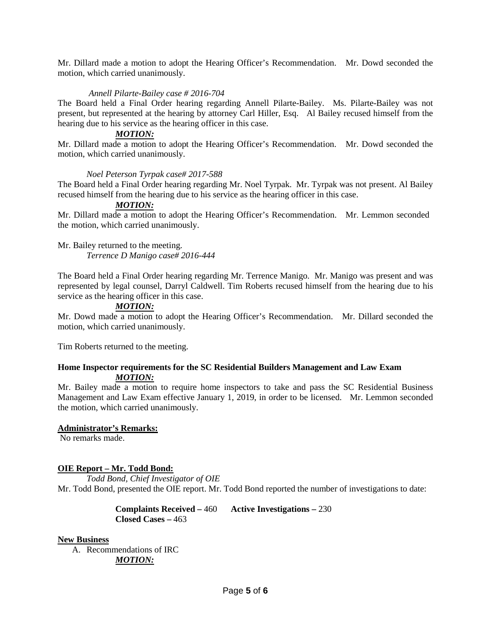Mr. Dillard made a motion to adopt the Hearing Officer's Recommendation. Mr. Dowd seconded the motion, which carried unanimously.

# *Annell Pilarte-Bailey case # 2016-704*

The Board held a Final Order hearing regarding Annell Pilarte-Bailey. Ms. Pilarte-Bailey was not present, but represented at the hearing by attorney Carl Hiller, Esq. Al Bailey recused himself from the hearing due to his service as the hearing officer in this case.

# *MOTION:*

Mr. Dillard made a motion to adopt the Hearing Officer's Recommendation. Mr. Dowd seconded the motion, which carried unanimously.

### *Noel Peterson Tyrpak case# 2017-588*

The Board held a Final Order hearing regarding Mr. Noel Tyrpak. Mr. Tyrpak was not present. Al Bailey recused himself from the hearing due to his service as the hearing officer in this case.

# *MOTION:*

Mr. Dillard made a motion to adopt the Hearing Officer's Recommendation. Mr. Lemmon seconded the motion, which carried unanimously.

Mr. Bailey returned to the meeting. *Terrence D Manigo case# 2016-444*

The Board held a Final Order hearing regarding Mr. Terrence Manigo. Mr. Manigo was present and was represented by legal counsel, Darryl Caldwell. Tim Roberts recused himself from the hearing due to his service as the hearing officer in this case.

### *MOTION:*

Mr. Dowd made a motion to adopt the Hearing Officer's Recommendation. Mr. Dillard seconded the motion, which carried unanimously.

Tim Roberts returned to the meeting.

### **Home Inspector requirements for the SC Residential Builders Management and Law Exam** *MOTION:*

Mr. Bailey made a motion to require home inspectors to take and pass the SC Residential Business Management and Law Exam effective January 1, 2019, in order to be licensed. Mr. Lemmon seconded the motion, which carried unanimously.

### **Administrator's Remarks:**

No remarks made.

### **OIE Report – Mr. Todd Bond:**

*Todd Bond, Chief Investigator of OIE* Mr. Todd Bond, presented the OIE report. Mr. Todd Bond reported the number of investigations to date:

> **Complaints Received –** 460 **Active Investigations –** 230 **Closed Cases –** 463

### **New Business**

A. Recommendations of IRC *MOTION:*